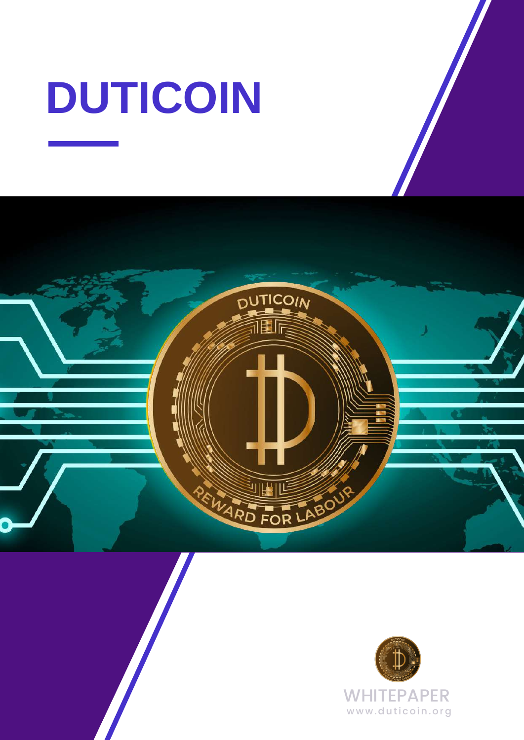# **DUTICOIN**



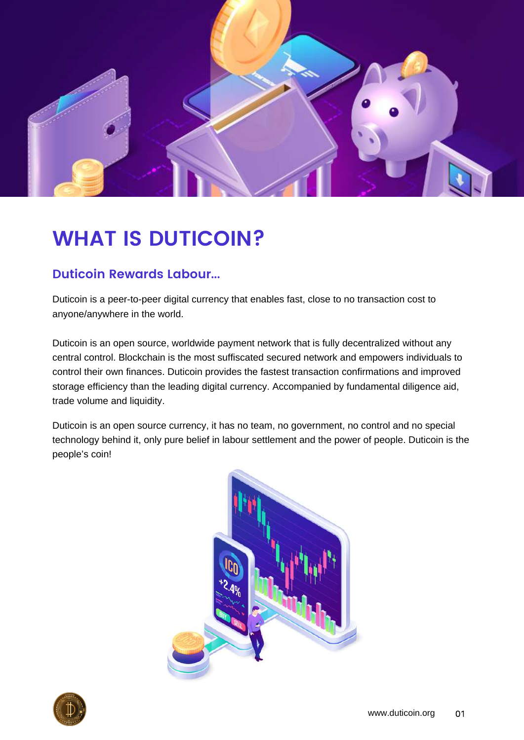

# **WHAT IS DUTICOIN?**

#### **Duticoin Rewards Labour...**

Duticoin is a peer-to-peer digital currency that enables fast, close to no transaction cost to anyone/anywhere in the world.

Duticoin is an open source, worldwide payment network that is fully decentralized without any central control. Blockchain is the most suffiscated secured network and empowers individuals to control their own finances. Duticoin provides the fastest transaction confirmations and improved storage efficiency than the leading digital currency. Accompanied by fundamental diligence aid, trade volume and liquidity.

Duticoin is an open source currency, it has no team, no government, no control and no special technology behind it, only pure belief in labour settlement and the power of people. Duticoin is the people's coin!



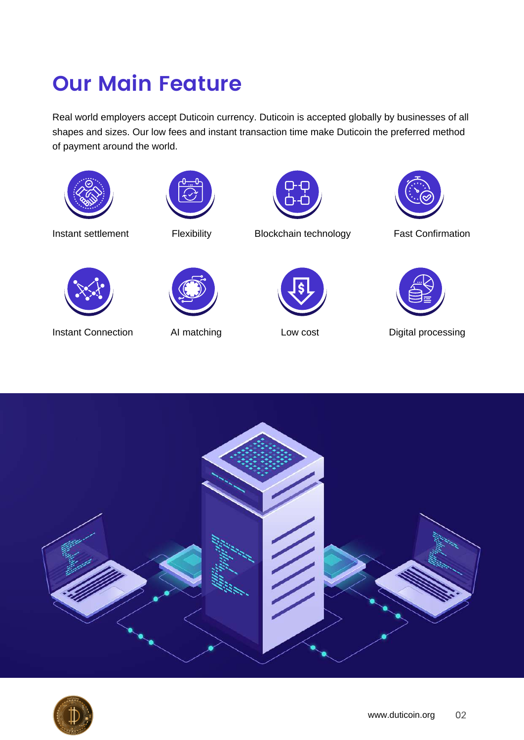# **Our Main Feature**

Real world employers accept Duticoin currency. Duticoin is accepted globally by businesses of all shapes and sizes. Our low fees and instant transaction time make Duticoin the preferred method of payment around the world.





Instant settlement Flexibility Blockchain technology Fast Confirmation









Instant Connection AI matching Low cost Digital processing



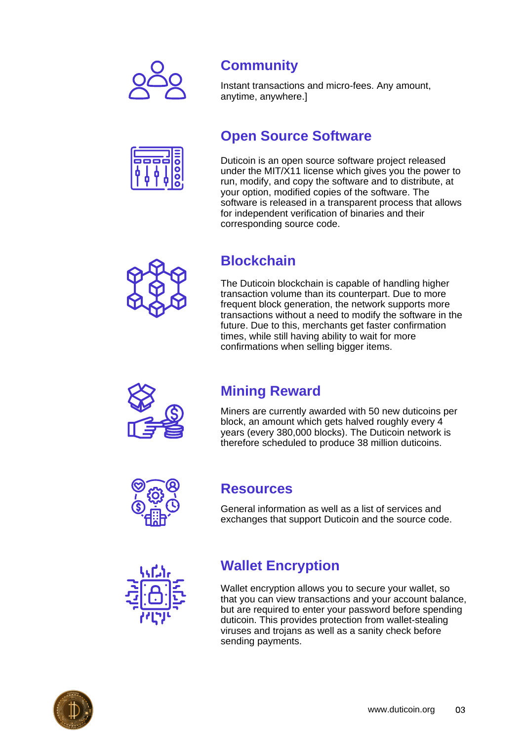

## **Community**

Instant transactions and micro-fees. Any amount, anytime, anywhere.]

### **Open Source Software**

Duticoin is an open source software project released under the MIT/X11 license which gives you the power to run, modify, and copy the software and to distribute, at your option, modified copies of the software. The software is released in a transparent process that allows for independent verification of binaries and their corresponding source code.

## **Blockchain**

The Duticoin blockchain is capable of handling higher transaction volume than its counterpart. Due to more frequent block generation, the network supports more transactions without a need to modify the software in the future. Due to this, merchants get faster confirmation times, while still having ability to wait for more confirmations when selling bigger items.



## **Mining Reward**

Miners are currently awarded with 50 new duticoins per block, an amount which gets halved roughly every 4 years (every 380,000 blocks). The Duticoin network is therefore scheduled to produce 38 million duticoins.



### **Resources**

General information as well as a list of services and exchanges that support Duticoin and the source code.



## **Wallet Encryption**

Wallet encryption allows you to secure your wallet, so that you can view transactions and your account balance, but are required to enter your password before spending duticoin. This provides protection from wallet-stealing viruses and trojans as well as a sanity check before sending payments.

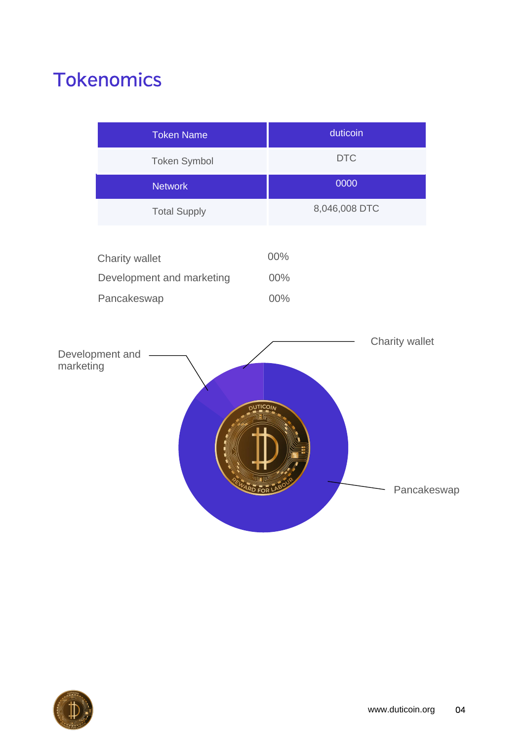# **Tokenomics**

|           | <b>Token Name</b>                                                 | duticoin          |             |
|-----------|-------------------------------------------------------------------|-------------------|-------------|
|           | Token Symbol                                                      | <b>DTC</b>        |             |
|           | <b>Network</b>                                                    | 0000              |             |
|           | <b>Total Supply</b>                                               | 8,046,008 DTC     |             |
|           | Charity wallet<br>Development and marketing<br>Pancakeswap        | 00%<br>00%<br>00% |             |
| marketing | Development and<br><sub>D</sub> υτ <u>ι</u> ςοιγ<br><b>RD FOR</b> | Charity wallet    | Pancakeswap |